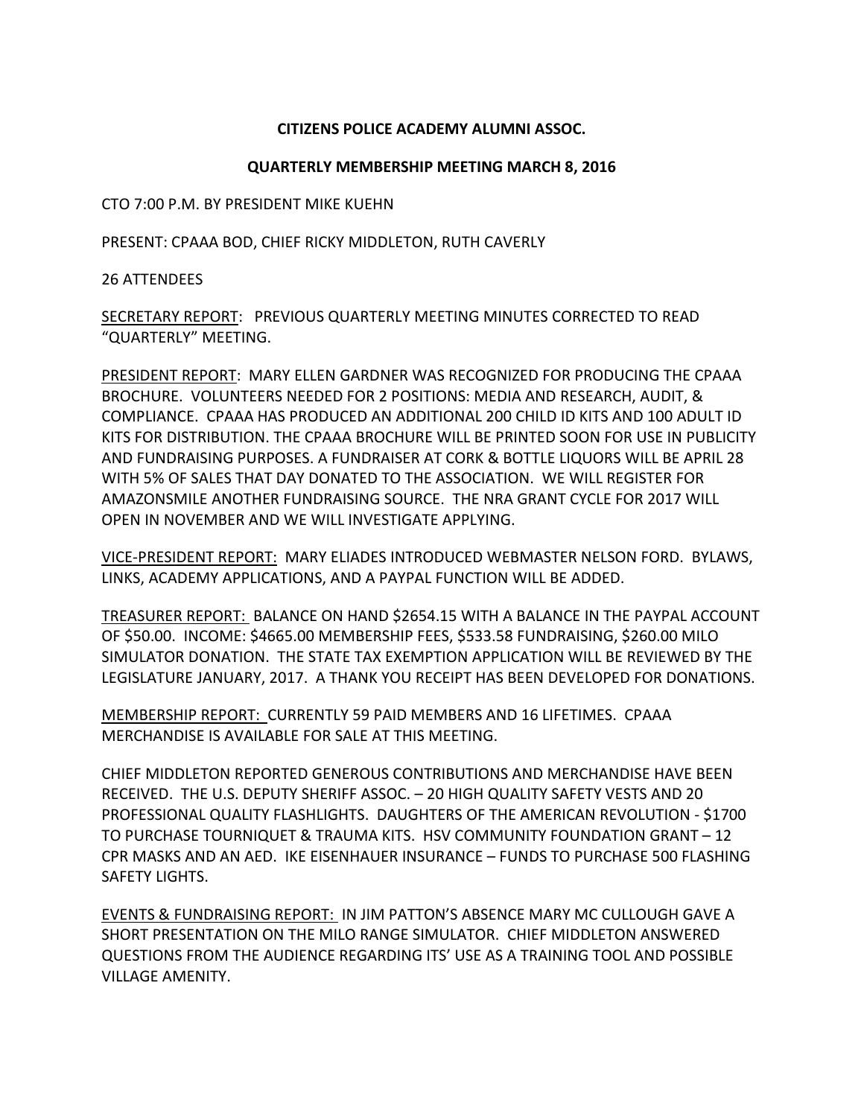## **CITIZENS POLICE ACADEMY ALUMNI ASSOC.**

## **QUARTERLY MEMBERSHIP MEETING MARCH 8, 2016**

CTO 7:00 P.M. BY PRESIDENT MIKE KUEHN

PRESENT: CPAAA BOD, CHIEF RICKY MIDDLETON, RUTH CAVERLY

26 ATTENDEES

SECRETARY REPORT: PREVIOUS QUARTERLY MEETING MINUTES CORRECTED TO READ "QUARTERLY" MEETING.

PRESIDENT REPORT: MARY ELLEN GARDNER WAS RECOGNIZED FOR PRODUCING THE CPAAA BROCHURE. VOLUNTEERS NEEDED FOR 2 POSITIONS: MEDIA AND RESEARCH, AUDIT, & COMPLIANCE. CPAAA HAS PRODUCED AN ADDITIONAL 200 CHILD ID KITS AND 100 ADULT ID KITS FOR DISTRIBUTION. THE CPAAA BROCHURE WILL BE PRINTED SOON FOR USE IN PUBLICITY AND FUNDRAISING PURPOSES. A FUNDRAISER AT CORK & BOTTLE LIQUORS WILL BE APRIL 28 WITH 5% OF SALES THAT DAY DONATED TO THE ASSOCIATION. WE WILL REGISTER FOR AMAZONSMILE ANOTHER FUNDRAISING SOURCE. THE NRA GRANT CYCLE FOR 2017 WILL OPEN IN NOVEMBER AND WE WILL INVESTIGATE APPLYING.

VICE-PRESIDENT REPORT: MARY ELIADES INTRODUCED WEBMASTER NELSON FORD. BYLAWS, LINKS, ACADEMY APPLICATIONS, AND A PAYPAL FUNCTION WILL BE ADDED.

TREASURER REPORT: BALANCE ON HAND \$2654.15 WITH A BALANCE IN THE PAYPAL ACCOUNT OF \$50.00. INCOME: \$4665.00 MEMBERSHIP FEES, \$533.58 FUNDRAISING, \$260.00 MILO SIMULATOR DONATION. THE STATE TAX EXEMPTION APPLICATION WILL BE REVIEWED BY THE LEGISLATURE JANUARY, 2017. A THANK YOU RECEIPT HAS BEEN DEVELOPED FOR DONATIONS.

MEMBERSHIP REPORT: CURRENTLY 59 PAID MEMBERS AND 16 LIFETIMES. CPAAA MERCHANDISE IS AVAILABLE FOR SALE AT THIS MEETING.

CHIEF MIDDLETON REPORTED GENEROUS CONTRIBUTIONS AND MERCHANDISE HAVE BEEN RECEIVED. THE U.S. DEPUTY SHERIFF ASSOC. – 20 HIGH QUALITY SAFETY VESTS AND 20 PROFESSIONAL QUALITY FLASHLIGHTS. DAUGHTERS OF THE AMERICAN REVOLUTION - \$1700 TO PURCHASE TOURNIQUET & TRAUMA KITS. HSV COMMUNITY FOUNDATION GRANT – 12 CPR MASKS AND AN AED. IKE EISENHAUER INSURANCE – FUNDS TO PURCHASE 500 FLASHING SAFETY LIGHTS.

EVENTS & FUNDRAISING REPORT: IN JIM PATTON'S ABSENCE MARY MC CULLOUGH GAVE A SHORT PRESENTATION ON THE MILO RANGE SIMULATOR. CHIEF MIDDLETON ANSWERED QUESTIONS FROM THE AUDIENCE REGARDING ITS' USE AS A TRAINING TOOL AND POSSIBLE VILLAGE AMENITY.